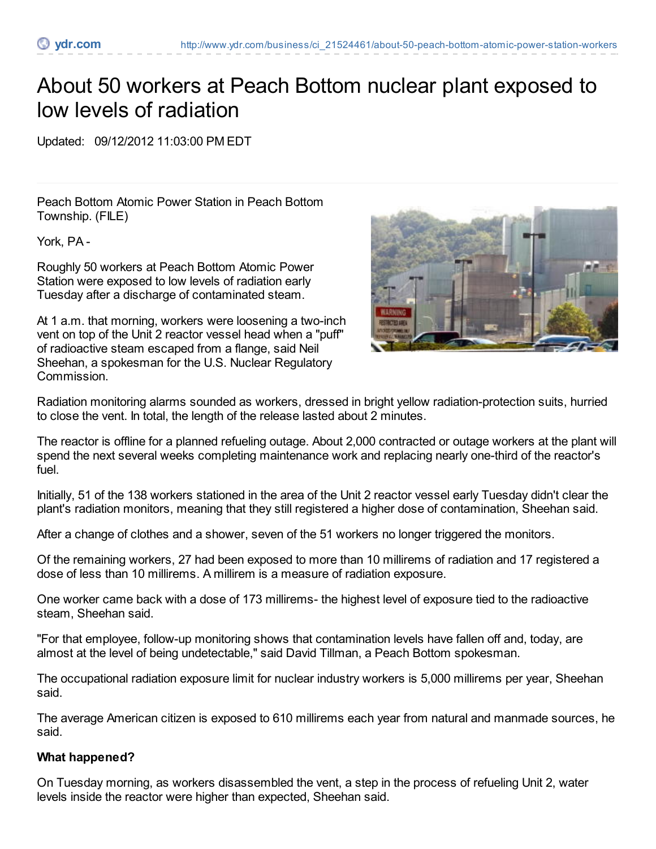## About 50 workers at Peach Bottom nuclear plant exposed to low levels of radiation

Updated: 09/12/2012 11:03:00 PM EDT

Peach Bottom Atomic Power Station in Peach Bottom Township. (FILE)

York, PA -

Roughly 50 workers at Peach Bottom Atomic Power Station were exposed to low levels of radiation early Tuesday after a discharge of contaminated steam.

At 1 a.m. that morning, workers were loosening a two-inch vent on top of the Unit 2 reactor vessel head when a "puff" of radioactive steam escaped from a flange, said Neil Sheehan, a spokesman for the U.S. Nuclear Regulatory Commission.



Radiation monitoring alarms sounded as workers, dressed in bright yellow radiation-protection suits, hurried to close the vent. In total, the length of the release lasted about 2 minutes.

The reactor is offline for a planned refueling outage. About 2,000 contracted or outage workers at the plant will spend the next several weeks completing maintenance work and replacing nearly one-third of the reactor's fuel.

Initially, 51 of the 138 workers stationed in the area of the Unit 2 reactor vessel early Tuesday didn't clear the plant's radiation monitors, meaning that they still registered a higher dose of contamination, Sheehan said.

After a change of clothes and a shower, seven of the 51 workers no longer triggered the monitors.

Of the remaining workers, 27 had been exposed to more than 10 millirems of radiation and 17 registered a dose of less than 10 millirems. A millirem is a measure of radiation exposure.

One worker came back with a dose of 173 millirems- the highest level of exposure tied to the radioactive steam, Sheehan said.

"For that employee, follow-up monitoring shows that contamination levels have fallen off and, today, are almost at the level of being undetectable," said David Tillman, a Peach Bottom spokesman.

The occupational radiation exposure limit for nuclear industry workers is 5,000 millirems per year, Sheehan said.

The average American citizen is exposed to 610 millirems each year from natural and manmade sources, he said.

## **What happened?**

On Tuesday morning, as workers disassembled the vent, a step in the process of refueling Unit 2, water levels inside the reactor were higher than expected, Sheehan said.